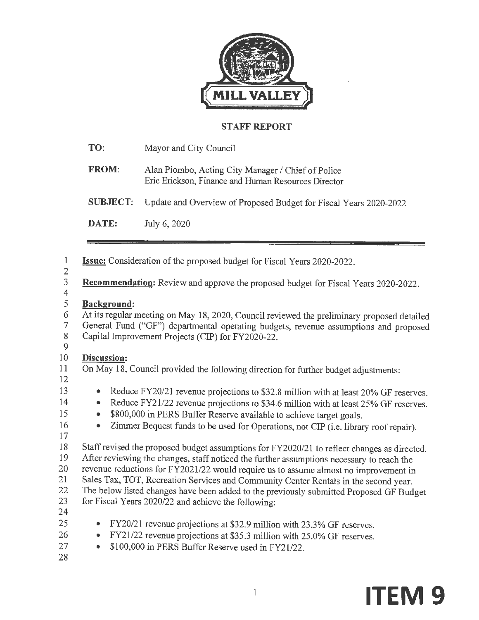

### **STAFF REPORT**

| TO:             | Mayor and City Council                                                                                    |
|-----------------|-----------------------------------------------------------------------------------------------------------|
| <b>FROM:</b>    | Alan Piombo, Acting City Manager / Chief of Police<br>Eric Erickson, Finance and Human Resources Director |
| <b>SUBJECT:</b> | Update and Overview of Proposed Budget for Fiscal Years 2020-2022                                         |
| DATE:           | July 6, 2020                                                                                              |
|                 |                                                                                                           |

| 1                                         | <b>Issue:</b> Consideration of the proposed budget for Fiscal Years 2020-2022.                   |
|-------------------------------------------|--------------------------------------------------------------------------------------------------|
| $\frac{2}{3}$<br>$\overline{\mathcal{A}}$ | Recommendation: Review and approve the proposed budget for Fiscal Years 2020-2022.               |
| 5                                         | <b>Background:</b>                                                                               |
| 6                                         | At its regular meeting on May 18, 2020, Council reviewed the preliminary proposed detailed       |
| $\tau$                                    | General Fund ("GF") departmental operating budgets, revenue assumptions and proposed             |
| $\bf 8$                                   | Capital Improvement Projects (CIP) for FY2020-22.                                                |
| 9                                         |                                                                                                  |
| 10                                        | <b>Discussion:</b>                                                                               |
| 11                                        | On May 18, Council provided the following direction for further budget adjustments:              |
| 12                                        |                                                                                                  |
| 13                                        | Reduce FY20/21 revenue projections to \$32.8 million with at least 20% GF reserves.<br>$\bullet$ |
| 14                                        | Reduce FY21/22 revenue projections to \$34.6 million with at least 25% GF reserves.<br>$\bullet$ |
| 15                                        | \$800,000 in PERS Buffer Reserve available to achieve target goals.<br>۰                         |
| 16                                        | Zimmer Bequest funds to be used for Operations, not CIP (i.e. library roof repair).<br>$\bullet$ |
| 17                                        |                                                                                                  |
| 18                                        | Staff revised the proposed budget assumptions for FY2020/21 to reflect changes as directed.      |
| 19                                        | After reviewing the changes, staff noticed the further assumptions necessary to reach the        |
| 20                                        | revenue reductions for FY2021/22 would require us to assume almost no improvement in             |
| 21                                        | Sales Tax, TOT, Recreation Services and Community Center Rentals in the second year.             |
| 22                                        | The below listed changes have been added to the previously submitted Proposed GF Budget          |
| 23                                        | for Fiscal Years 2020/22 and achieve the following:                                              |
| 24                                        |                                                                                                  |
| 25                                        | FY20/21 revenue projections at \$32.9 million with 23.3% GF reserves.<br>$\bullet$               |
| 26                                        | FY21/22 revenue projections at \$35.3 million with 25.0% GF reserves.<br>$\bullet$               |
| 27                                        | \$100,000 in PERS Buffer Reserve used in FY21/22.                                                |

28

1 **ITEM 9**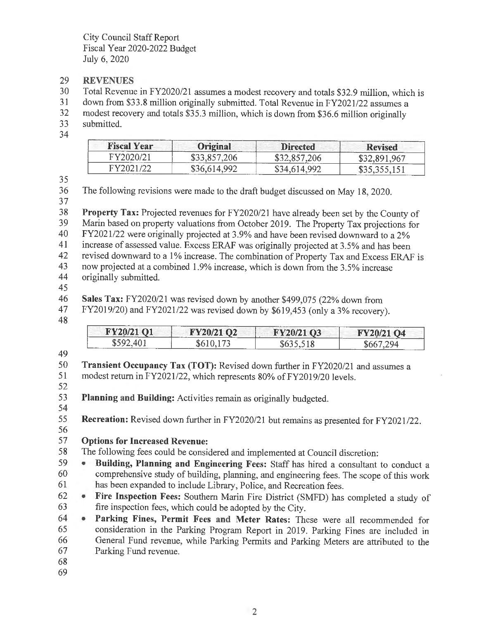- 29 **REVENUES**
- 30 Total Revenue in FY2020/21 assumes a modest recovery and totals \$32.9 million, which is
- 31 down from \$33.8 million originally submitted. Total Revenue in FY2021/22 assumes a<br>32 modest recovery and totals \$35.3 million, which is down from \$36.6 million originally
- modest recovery and totals \$35.3 million, which is down from \$36.6 million originally 33 submitted.
- 34

| <b>Fiscal Year</b> | Original<br>------     | <b>Directed</b> | <b>Revised</b> |
|--------------------|------------------------|-----------------|----------------|
|                    |                        | 1206            | - 967          |
|                    | \$36.614.992<br>------ | 34.614.992      | \$35,355,151   |

35

36 The following revisions were made to the draft budget discussed on May 18, 2020.

37

38 **Property Tax:** Projected revenues for FY2020/21 have already been set by the County of 39 Marin based on property valuations from October 2019. The Property Tax projections for  $40$  FY2021/22 were originally projected at 3.9% and have been revised downward to a 2% 40 FY2021/22 were originally projected at 3.9% and have been revised downward to a 2% 41 increase of assessed value. Excess ERAF was originally projected at 3.5% and has been<br>42 revised downward to a 1% increase. The combination of Property Tax and Excess ERAI revised downward to a 1% increase. The combination of Property Tax and Excess ERAF is

43 now projected at a combined 1.9% increase, which is down from the 3.5% increase

44 originally submitted.

45

46 **Sales Tax:** FY2020/2 l was revised down by another \$499,075 (22% down from

47 FY2019/20) and FY2021/22 was revised down by \$619,453 (only a 3% recovery).

48

49

| FY20/21 O1<br>____ | FY20/21 O2<br>and manager of | ---------<br>FY20/21 Q3<br><u>mainscritism</u> | <b>MARINE COMPANY</b><br>FY20/21 O4 |
|--------------------|------------------------------|------------------------------------------------|-------------------------------------|
| ወደብጣ<br>こじ         | wv                           | ----                                           |                                     |

50 **Transient Occupancy Tax (TOT):** Revised down further in FY2020/21 and assumes a 51 modest return in FY2021/22, which represents 80% of FY2019/20 levels.

52

53 **Planning and Building:** Activities remain as originally budgeted.

54

55 **Recreation:** Revised down further in FY2020/21 but remains as presented for FY2021/22.

56

### 57 **Options for Increased Revenue:**

58 The following fees could be considered and implemented at Council discretion:

59 • **Building, Planning and Engineering Fees:** Staff has hired a consultant to conduct a 60 comprehensive study of building, planning, and engineering fees. The scope of this work 61 has been expanded to include Library, Police, and Recreation fees.

62 • **Fire Inspection Fees:** Southern Marin Fire District (SMFD) has completed a study of 63 fire inspection fees, which could be adopted by the City.

64 • **Parking Fines, Permit Fees and Meter Rates:** These were all recommended for 65 consideration in the Parking Program Report in 2019. Parking Fines are included in 66 General Fund revenue, while Parking Permits and Parking Meters are attributed to the 67 Parking Fund revenue.

- 68
- 69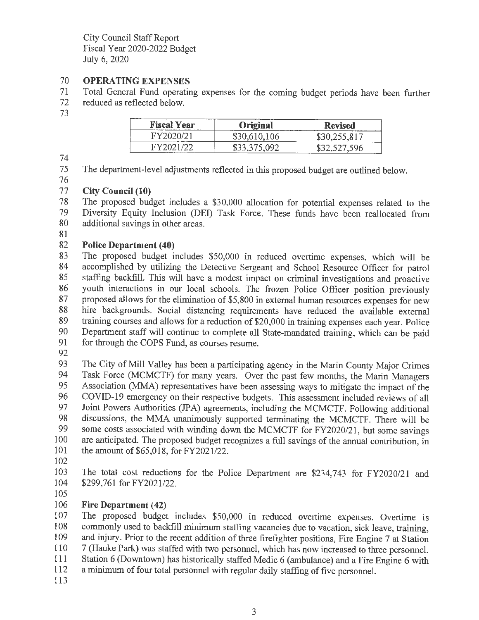### 70 **OPERA TING EXPENSES**

- 71 Total General Fund operating expenses for the coming budget periods have been further
- 72 reduced as reflected below.
- 73

| <b>Fiscal</b><br>ear | $-$<br>na<br>マーエルのもの | ---<br>ised       |
|----------------------|----------------------|-------------------|
| ь<br>_______         |                      | _________________ |
| ------               |                      |                   |

74

75 The department-level adjustments reflected in this proposed budget are outlined below.

76

### 77 **City Council (10)**

78 The proposed budget includes a \$30,000 allocation for potential expenses related to the<br>79 Diversity Equity Inclusion (DEI) Task Force. These funds have been reallocated from 79 Diversity Equity Inclusion (DEi) Task Force. These funds have been reallocated from additional savings in other areas.

81

### 82 **Police Department (40)**

83 The proposed budget includes \$50,000 in reduced overtime expenses, which will be 84 accomplished by utilizing the Detective Sergeant and School Resource Officer for patrol 85 staffing backfill. This will have a modest impact on criminal investigations and proactive 86 youth interactions in our local schools. The frozen Police Officer position previously 87 proposed allows for the elimination of \$5,800 in external human resources expenses for new 88 hire backgrounds. Social distancing requirements have reduced the available external 89 training courses and allows for a reduction of \$20,000 in training expenses each year. Police 90 Department staff will continue to complete all State-mandated training, which can be paid 91 for through the COPS Fund, as courses resume.

92

93 The City of Mill Valley has been a participating agency in the Marin County Major Crimes 94 Task Force (MCMCTF) for many years. Over the past few months, the Marin Managers 95 Association (MMA) representatives have been assessing ways to mitigate the impact of the 96 COVID-19 emergency on their respective budgets. This assessment included reviews of all<br>97 Joint Powers Authorities (JPA) agreements including the MCMCTF Following additional Joint Powers Authorities (JPA) agreements, including the MCMCTF. Following additional 98 discussions, the MMA unanimously supported terminating the MCMCTF. There will be 99 some costs associated with winding down the MCMCTF for FY2020/21, but some savings are anticipated. The proposed budget recognizes a full savings of the annual contribution, in are anticipated. The proposed budget recognizes a full savings of the annual contribution, in 101 the amount of \$65,018, for FY2021/22.

102

103 The total cost reductions for the Police Department are \$234,743 for FY2020/21 and 104 \$299,761 for FY202I/22.

105

### 106 **Fire Department (42)**

107 The proposed budget includes \$50,000 in reduced overtime expenses. Overtime is 108 commonly used to backfill minimum staffing vacancies due to vacation, sick leave, training, 109 and injury. Prior to the recent addition of three firefighter positions, Fire Engine 7 at Station 110 7 (Hauke Park) was staffed with two personnel, which has now increased to three personnel.

- 111 Station 6 (Downtown) has historically staffed Medic 6 (ambulance) and a Fire Engine 6 with
- 112 a minimum of four total personnel with regular daily staffing of five personnel.

113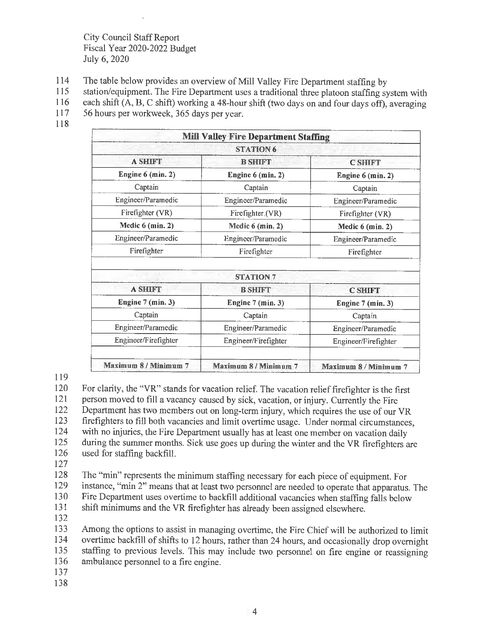- 114 The table below provides an overview of Mill Valley Fire Department staffing by
- 115 station/equipment. The Fire Department uses a traditional three platoon staffing system with
- 116 each shift (A, B, C shift) working a 48-hour shift (two days on and four days off), averaging
- 117 56 hours per workweek, 365 days per year.
- 118

|                       | <b>Mill Valley Fire Department Staffing</b> |                       |
|-----------------------|---------------------------------------------|-----------------------|
|                       | <b>STATION 6</b>                            |                       |
| <b>A SHIFT</b>        | <b>B SHIFT</b>                              | <b>C SHIFT</b>        |
| Engine $6$ (min. 2)   | Engine 6 (min. 2)                           | Engine 6 (min. 2)     |
| Captain               | Captain                                     | Captain               |
| Engineer/Paramedic    | Engineer/Paramedic                          | Engineer/Paramedic    |
| Firefighter (VR)      | Firefighter.(VR)                            | Firefighter (VR)      |
| Medic $6$ (min. 2)    | Medic 6 (min. 2)                            | Medic $6$ (min. 2)    |
| Engineer/Paramedic    | Engineer/Paramedic                          | Engineer/Paramedic    |
| Firefighter           | Firefighter                                 | Firefighter           |
|                       | <b>STATION 7</b>                            |                       |
| <b>A SHIFT</b>        | <b>B SHIFT</b>                              | <b>C SHIFT</b>        |
| Engine $7$ (min. 3)   | Engine 7 (min. 3)                           | Engine $7$ (min. 3)   |
| Captain               | Captain                                     | Captain               |
| Engineer/Paramedic    | Engineer/Paramedic                          | Engineer/Paramedic    |
| Engineer/Firefighter  | Engineer/Firefighter                        | Engineer/Firefighter  |
| Maximum 8 / Minimum 7 | Maximum 8 / Minimum 7                       | Maximum 8 / Minimum 7 |

#### 119

120 For clarity, the "VR" stands for vacation relief. The vacation relief firefighter is the first 121 person moved to fill a vacancy caused by sick, vacation, or injury. Currently the Fire 122 Department has two members out on long-term injury, which requires the use of our VR 123 firefighters to fill both vacancies and limit overtime usage. Under normal circumstances, 124 with no injuries, the Fire Department usually has at least one member on vacation daily 125 during the summer months. Sick use goes up during the winter and the VR firefighters are 126 used for staffing backfill.

127

128 The "min" represents the minimum staffing necessary for each piece of equipment. For 129 instance, "min 2" means that at least two personnel are needed to operate that apparatus. The 130 Fire Department uses overtime to backfill additional vacancies when staffing falls below 131 shift minimums and the VR firefighter has already been assigned elsewhere.

132

133 Among the options to assist in managing overtime, the Fire Chief will be authorized to limit 134 overtime backfill of shifts to 12 hours, rather than 24 hours, and occasionally drop overnight 135 staffing to previous levels. This may include two personnel on fire engine or reassigning 136 ambulance personnel to a fire engine.

- 137
- 138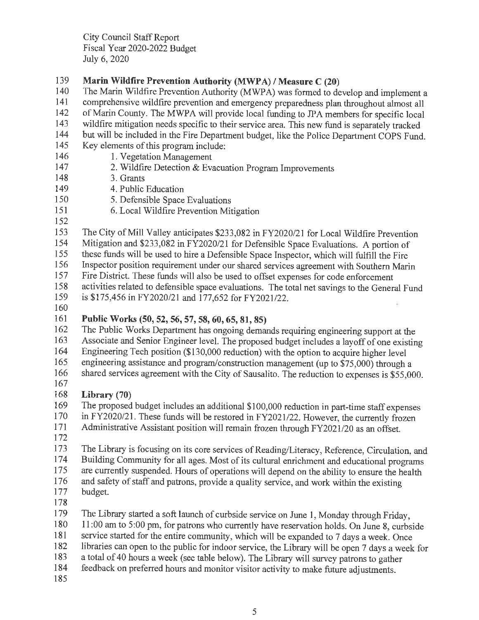### 139 **Marin Wildfire Prevention Authority (MWP A)/ Measure C (20)**

- 140 The Marin Wildfire Prevention Authority (MWPA) was formed to develop and implement a
- 141 comprehensive wildfire prevention and emergency preparedness plan throughout almost all<br>142 of Marin County. The MWPA will provide local funding to JPA members for specific local
- of Marin County. The MWPA will provide local funding to JPA members for specific local
- 143 wildfire mitigation needs specific to their service area. This new fund is separately tracked<br>144 but will be included in the Fire Department budget like the Police Department COPS Fund
- but will be included in the Fire Department budget, like the Police Department COPS Fund.
- 145 Key elements of this program include:
- 146 1. Vegetation Management
- 147 2. Wildfire Detection & Evacuation Program Improvements
- 148 3. Grants
- 149 4. Public Education
- 150 5. Defensible Space Evaluations
- 151 6. Local Wildfire Prevention Mitigation
- 152
- 153 The City of Mill Valley anticipates \$233,082 in FY2020/21 for Local Wildfire Prevention
- 154 Mitigation and \$233,082 in FY2020/21 for Defensible Space Evaluations. A portion of
- 155 these funds will be used to hire a Defensible Space Inspector, which will fulfill the Fire<br>156 Inspector position requirement under our shared services agreement with Southern Mari
- Inspector position requirement under our shared services agreement with Southern Marin
- 157 Fire District. These funds will also be used to offset expenses for code enforcement
- 158 activities related to defensible space evaluations. The total net savings to the General Fund<br>159 is \$175,456 in FY2020/21 and 177.652 for FY2021/22. is \$175,456 in FY2020/21 and 177,652 for FY2021/22.
- 160

### 161 **Public Works (50, 52, 56, 57, 58, 60, 65, 81, 85)**

- 162 The Public Works Department has ongoing demands requiring engineering support at the
- 163 Associate and Senior Engineer level. The proposed budget includes a layoff of one existing<br>164 Engineering Tech position (\$130,000 reduction) with the ontion to acquire higher level
- 164 Engineering Tech position (\$130,000 reduction) with the option to acquire higher level<br>165 engineering assistance and program/construction management (up to \$75,000) through engineering assistance and program/construction management (up to \$75,000) through a
- 166 shared services agreement with the City of Sausalito. The reduction to expenses is \$55,000.
- 167

### 168 **Library (70)**

- 169 The proposed budget includes an additional \$100,000 reduction in part-time staff expenses 170 in FY2020/21. These funds will be restored in FY2021/22. However, the currently frozen 171 Administrative Assistant position will remain frozen through FY2021/20 as an offset.
- 172
- 173 The Library is focusing on its core services of Reading/Literacy, Reference, Circulation, and
- 174 Building Community for all ages. Most of its cultural enrichment and educational programs
- 175 are currently suspended. Hours of operations will depend on the ability to ensure the health
- 176 and safety of staff and patrons, provide a quality service, and work within the existing budget. budget.
- 178
- 179 The Library started a soft launch of curbside service on June 1, Monday through Friday,
- 180 11:00 am to 5:00 pm, for patrons who currently have reservation holds. On June 8, curbside<br>181 service started for the entire community which will be expanded to 7 days a week. Once
- service started for the entire community, which will be expanded to 7 days a week. Once
- 182 libraries can open to the public for indoor service, the Library will be open 7 days a week for
- 183 a total of 40 hours a week (see table below). The Library will survey patrons to gather
- 184 feedback on preferred hours and monitor visitor activity to make future adjustments.
- 185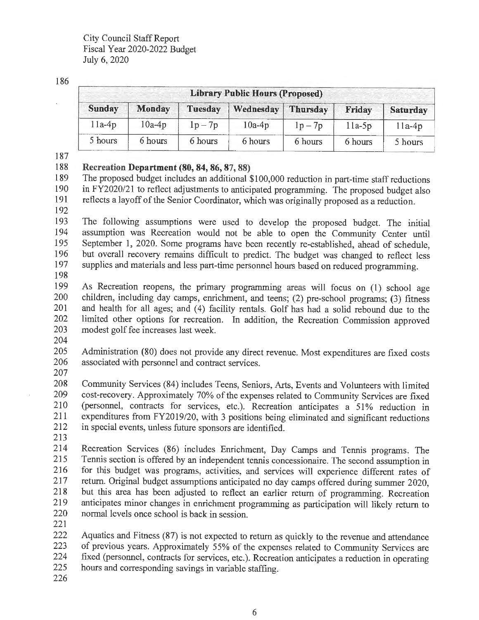#### 186

| <b>Library Public Hours (Proposed)</b> |               |                |           |                 |          |                 |  |  |
|----------------------------------------|---------------|----------------|-----------|-----------------|----------|-----------------|--|--|
| <b>Sunday</b>                          | <b>Monday</b> | <b>Tuesday</b> | Wednesday | <b>Thursday</b> | Friday   | <b>Saturday</b> |  |  |
| $11a-4p$                               | $10a-4p$      | $1p-7p$        | $10a-4p$  | $1p-7p$         | $11a-5p$ | $11a-4p$        |  |  |
| 5 hours                                | 6 hours       | 6 hours        | 6 hours   | 6 hours         | 6 hours  | 5 hours         |  |  |

187

#### 188 **Recreation Department (80, 84, 86, 87, 88)**

189 The proposed budget includes an additional \$100,000 reduction in part-time staff reductions 190 in FY2020/21 to reflect adjustments to anticipated programming. The proposed budget also reflects a lavoff of the Senior Coordinator, which was originally proposed as a reduction reflects a layoff of the Senior Coordinator, which was originally proposed as a reduction.

192

193 The following assumptions were used to develop the proposed budget. The initial assumption was Recreation would not be able to onen the Community Center until assumption was Recreation would not be able to open the Community Center until 195 September 1, 2020. Some programs have been recently re-established, ahead of schedule, 196 but overall recovery remains difficult to predict. The budget was changed to reflect less<br>197 supplies and materials and less part-time personnel hours based on reduced programming supplies and materials and less part-time personnel hours based on reduced programming.

198

199 As Recreation reopens, the primary programming areas will focus on ( 1) school age 200 children, including day camps, enrichment, and teens; (2) pre-school programs; (3) fitness<br>201 and health for all ages: and (4) facility rentals. Golf has had a solid rebound due to the and health for all ages; and (4) facility rentals. Golf has had a solid rebound due to the 202 limited other options for recreation. In addition, the Recreation Commission approved<br>203 modest golf fee increases last week modest golf fee increases last week.

204

205 Administration (80) does not provide any direct revenue. Most expenditures are fixed costs associated with personnel and contract services. associated with personnel and contract services.

207

208 Community Services (84) includes Teens, Seniors, Arts, Events and Volunteers with limited 209 cost-recovery. Approximately 70% of the expenses related to Community Services are fixed 210 (personnel, contracts for services, etc.). Recreation anticipates a 51 % reduction in 211 expenditures from FY2019/20, with 3 positions being eliminated and significant reductions 212 in special events, unless future sponsors are identified.

213

214 Recreation Services (86) includes Emichment, Day Camps and Tennis programs. The 215 Tennis section is offered by an independent tennis concessionaire. The second assumption in<br>216 for this budget was programs, activities, and services will experience different rates of for this budget was programs, activities, and services will experience different rates of 217 return. Original budget assumptions anticipated no day camps offered during summer 2020,<br>218 but this area has been adjusted to reflect an earlier return of programming Recreation but this area has been adjusted to reflect an earlier return of programming. Recreation 219 anticipates minor changes in enrichment programming as participation will likely return to normal levels once school is back in session. normal levels once school is back in session.

221

222 Aquatics and Fitness (87) is not expected to return as quickly to the revenue and attendance 223 of previous years. Approximately 55% of the expenses related to Community Services are 224 fixed (personnel, contracts for services, etc.). Recreation anticipates a reduction in operating 225 hours and corresponding savings in variable staffing.

226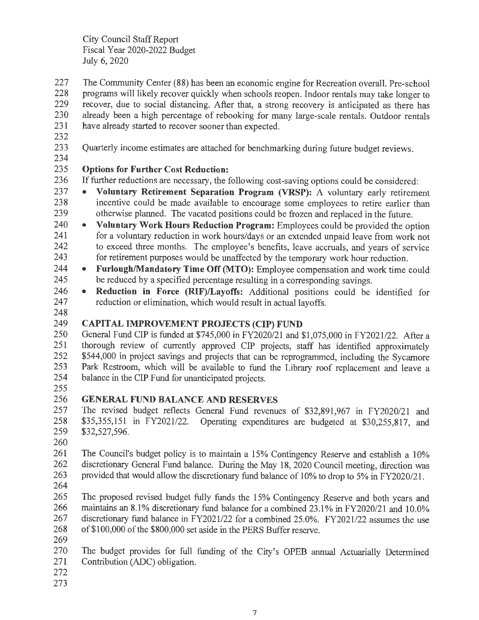227 The Community Center **(88)** has been an economic engine for Recreation overall. Pre-school 228 programs will likely recover quickly when schools reopen. Indoor rentals may take longer to 229 recover, due to social distancing. After that, a strong recovery is anticipated as there has 230 already been a high percentage of rebooking for many large-scale rentals. Outdoor rentals 231 have already started to recover sooner than expected.

- 232
- 233 Quarterly income estimates are attached for benchmarking during future budget reviews.
- 234

### 235 **Options for Further Cost Reduction:**

236 If further reductions are necessary, the following cost-saving options could be considered:

- 237 **Voluntary Retirement Separation Program (VRSP):** A voluntary early retirement 238 incentive could be made available to encourage some employees to retire earlier than 239 otherwise planned. The vacated positions could be frozen and replaced in the future.
- 240 **Voluntary Work Hours Reduction Program:** Employees could be provided the option 241 for a voluntary reduction in work hours/days or an extended unpaid leave from work not 242 to exceed three months. The employee's benefits, leave accruals, and years of service 243 for retirement purposes would be unaffected by the temporary work hour reduction.
- 244 **Furlough/Mandatory Time Off (MTO):** Employee compensation and work time could 245 be reduced by a specified percentage resulting in a corresponding savings.
- 246 **Reduction in Force (RIF)/Layoffs:** Additional positions could be identified for 247 reduction or elimination, which would result in actual layoffs.
- 248

### 249 **CAPITAL IMPROVEMENT PROJECTS (CIP) FUND**

250 General Fund CIP is funded at \$745,000 in FY2020/21 and \$1,075,000 in FY2021/22. After a 251 thorough review of currently approved CIP projects, staff has identified approximately 252 \$544,000 in project savings and projects that can be reprogrammed, including the Sycamore 253 Park Restroom, which will be available to fund the Library roof replacement and leave <sup>a</sup> 254 balance in the CIP Fund for unanticipated projects.

255

### 256 **GENERAL FUND BALANCE AND RESERVES**

257 The revised budget reflects General Fund revenues of \$32,891,967 in FY2020/21 and 258 \$35,355,151 in FY2021/22. Operating expenditures are budgeted at \$30,255,817, and 259 \$32,527,596.

260

261 The Council's budget policy is to maintain a 15% Contingency Reserve and establish a 10% 262 discretionary General Fund balance. During the May **18,** 2020 Council meeting, direction was 263 provided that would allow the discretionary fund balance of 10% to drop to 5% in FY2020/21.

264

265 The proposed revised budget fully funds the 15% Contingency Reserve and both years and 266 maintains an 8.1% discretionary fund balance for a combined 23.1% in FY2020/21 and 10.0% 267 discretionary fund balance in FY202I/22 for a combined 25.0%. FY2021/22 assumes the use 268 of \$100,000 of the \$800,000 set aside in the PERS Buffer reserve.

269

270 The budget provides for full funding of the City's OPEB annual Actuarially Determined 271 Contribution (ADC) obligation.

- 272
- 273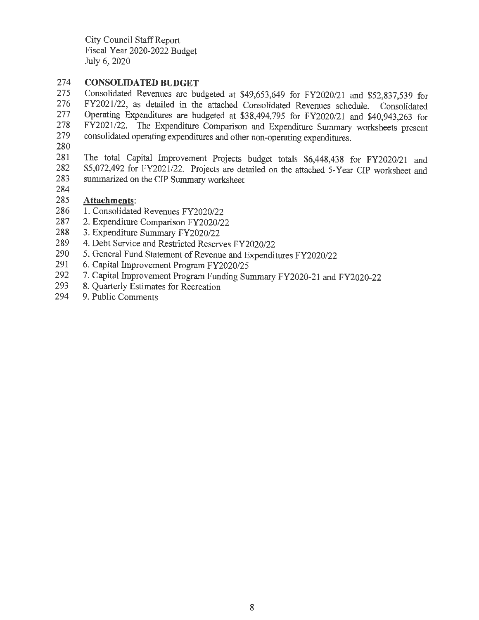### 274 **CONSOLIDATED BUDGET**

275 Consolidated Revenues are budgeted at \$49,653,649 for FY2020/21 and \$52,837,539 for 276 FY2021/22, as detailed in the attached Consolidated Revenues schedule Consolidated 276 FY2021/22, as detailed in the attached Consolidated Revenues schedule. Consolidated 277 Operating Expenditures are budgeted at \$38,494,795 for FY2020/21 and \$40,943,263 for 278 FY2021/22. The Expenditure Comparison and Expenditure Summary worksheets present 278 FY2021/22. The Expenditure Comparison and Expenditure Summary worksheets present consolidated operating expenditures and other non-operating expenditures consolidated operating expenditures and other non-operating expenditures.

280

281 The total Capital Improvement Projects budget totals \$6,448,438 for FY2020/21 and 282 \$5,072,492 for FY2021/22. Projects are detailed on the attached 5-Year CIP worksheet and 282 \$5,072,492 for FY2021/22. Projects are detailed on the attached 5-Year CIP worksheet and<br>283 summarized on the CIP Summary worksheet summarized on the CIP Summary worksheet

284

### 285 **Attachments:**

- 286 1. Consolidated Revenues FY2020/22
- 287 2. Expenditure Comparison FY2020/22
- 288 3. Expenditure Summary FY2020/22
- 289 4. Debt Service and Restricted Reserves FY2020/22
- 290 5. General Fund Statement of Revenue and Expenditures FY2020/22<br>291 6. Canital Improvement Program FY2020/25
- 6. Capital Improvement Program FY2020/25
- 292 7. Capital Improvement Program Funding Summary FY2020-21 and FY2020-22<br>293 8. Ouarterly Estimates for Recreation
- 8. Quarterly Estimates for Recreation
- 294 9. Public Comments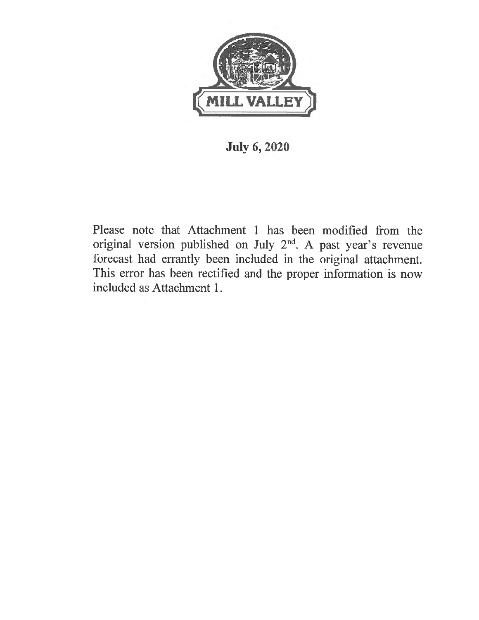

### **July 6, 2020**

Please note that Attachment 1 has been modified from the original version published on July 2nd. A past year's revenue forecast had errantly been included in the original attachment. This error has been rectified and the proper information is now included as Attachment 1.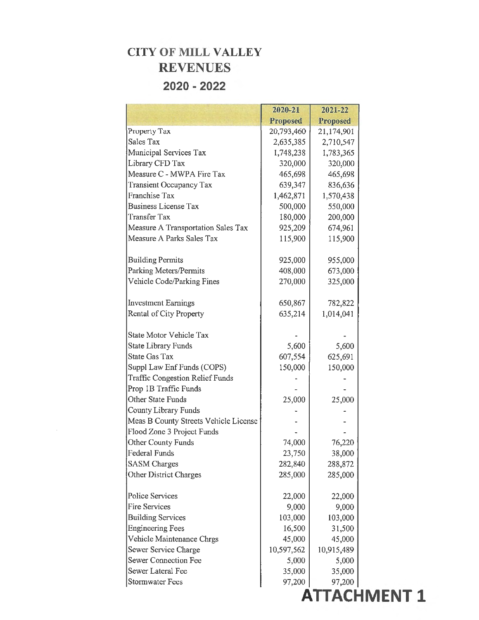### **CITY OF MILL VALLEY REVENUES 2020 - 2022**

|                                        | 2020-21         | 2021-22         |  |
|----------------------------------------|-----------------|-----------------|--|
|                                        | <b>Proposed</b> | <b>Proposed</b> |  |
| Property Tax                           | 20,793,460      | 21,174,901      |  |
| <b>Sales Tax</b>                       | 2,635,385       | 2,710,547       |  |
| Municipal Services Tax                 | 1,748,238       | 1,783,365       |  |
| Library CFD Tax                        | 320,000         | 320,000         |  |
| Measure C - MWPA Fire Tax              | 465,698         | 465,698         |  |
| <b>Transient Occupancy Tax</b>         | 639,347         | 836,636         |  |
| <b>Franchise Tax</b>                   | 1,462,871       | 1,570,438       |  |
| <b>Business License Tax</b>            | 500,000         | 550,000         |  |
| <b>Transfer Tax</b>                    | 180,000         | 200,000         |  |
| Measure A Transportation Sales Tax     | 925,209         | 674,961         |  |
| Measure A Parks Sales Tax              | 115,900         | 115,900         |  |
| <b>Building Permits</b>                | 925,000         | 955,000         |  |
| Parking Meters/Permits                 | 408,000         | 673,000         |  |
| Vehicle Code/Parking Fines             | 270,000         | 325,000         |  |
| <b>Investment Earnings</b>             | 650,867         | 782,822         |  |
| Rental of City Property                | 635,214         | 1,014,041       |  |
| State Motor Vehicle Tax                |                 |                 |  |
| <b>State Library Funds</b>             | 5,600           | 5,600           |  |
| <b>State Gas Tax</b>                   | 607,554         | 625,691         |  |
| Suppl Law Enf Funds (COPS)             | 150,000         | 150,000         |  |
| <b>Traffic Congestion Relief Funds</b> |                 |                 |  |
| Prop 1B Traffic Funds                  |                 |                 |  |
| Other State Funds                      | 25,000          | 25,000          |  |
| <b>County Library Funds</b>            |                 |                 |  |
| Meas B County Streets Vehicle License  |                 |                 |  |
| Flood Zone 3 Project Funds             |                 |                 |  |
| Other County Funds                     | 74,000          | 76,220          |  |
| Federal Funds                          | 23,750          | 38,000          |  |
| <b>SASM</b> Charges                    | 282,840         | 288,872         |  |
| <b>Other District Charges</b>          | 285,000         | 285,000         |  |
| <b>Police Services</b>                 | 22,000          | 22,000          |  |
| <b>Fire Services</b>                   | 9,000           | 9,000           |  |
| <b>Building Services</b>               | 103,000         | 103,000         |  |
| <b>Engineering Fees</b>                | 16,500          | 31,500          |  |
| Vehicle Maintenance Chrgs              | 45,000          | 45,000          |  |
| Sewer Service Charge                   | 10,597,562      | 10,915,489      |  |
| <b>Sewer Connection Fee</b>            | 5,000           | 5,000           |  |
| Sewer Lateral Fee                      | 35,000          | 35,000          |  |
| <b>Stormwater Fees</b>                 | 97,200          | 97,200          |  |
|                                        |                 |                 |  |

 $\sim 10^{-11}$ 

**ATTACHMENT 1**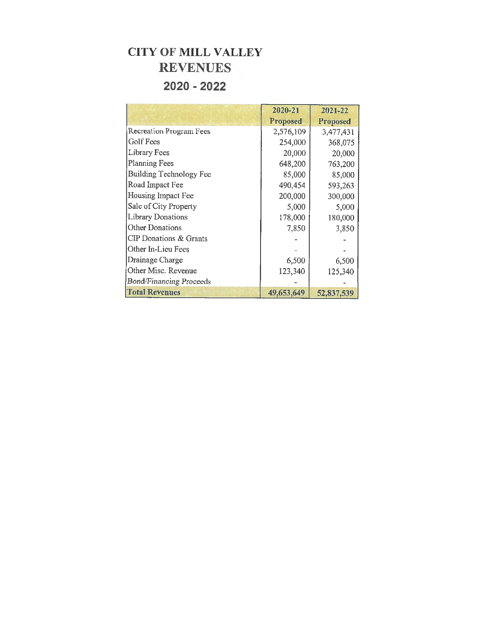### **CITY OF MILL VALLEY REVENUES 2020 - 2022**

|                                | 2020-21         | 2021-22         |
|--------------------------------|-----------------|-----------------|
|                                | <b>Proposed</b> | <b>Proposed</b> |
| <b>Recreation Program Fees</b> | 2,576,109       | 3,477,431       |
| Golf Fees                      | 254,000         | 368,075         |
| Library Fees                   | 20,000          | 20,000          |
| Planning Fees                  | 648,200         | 763,200         |
| <b>Building Technology Fee</b> | 85,000          | 85,000          |
| Road Impact Fee                | 490,454         | 593,263         |
| Housing Impact Fee             | 200,000         | 300,000         |
| Sale of City Property          | 5,000           | 5,000           |
| <b>Library Donations</b>       | 178,000         | 180,000         |
| Other Donations                | 7,850           | 3,850           |
| CIP Donations & Grants         |                 |                 |
| Other In-Lieu Fees             |                 |                 |
| Drainage Charge                | 6,500           | 6,500           |
| Other Misc. Revenue            | 123,340         | 125,340         |
| <b>Bond/Financing Proceeds</b> |                 |                 |
| <b>Total Revenues</b>          | 49,653,649      | 52,837,539      |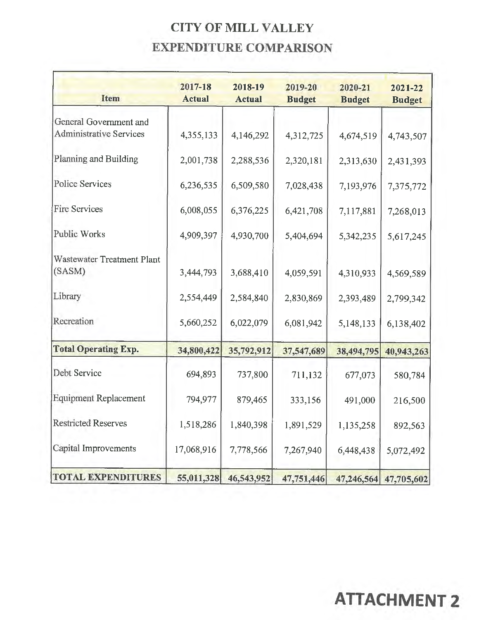## **CITY OF MILL VALLEY EXPENDITURE COMPARISON**

| Item                           | 2017-18<br><b>Actual</b> | 2018-19<br><b>Actual</b> | 2019-20<br><b>Budget</b> | 2020-21<br><b>Budget</b> | 2021-22<br><b>Budget</b> |
|--------------------------------|--------------------------|--------------------------|--------------------------|--------------------------|--------------------------|
| General Government and         |                          |                          |                          |                          |                          |
| <b>Administrative Services</b> | 4,355,133                | 4,146,292                | 4,312,725                | 4,674,519                | 4,743,507                |
| Planning and Building          | 2,001,738                | 2,288,536                | 2,320,181                | 2,313,630                | 2,431,393                |
| Police Services                | 6,236,535                | 6,509,580                | 7,028,438                | 7,193,976                | 7,375,772                |
| <b>Fire Services</b>           | 6,008,055                | 6,376,225                | 6,421,708                | 7,117,881                | 7,268,013                |
| Public Works                   | 4,909,397                | 4,930,700                | 5,404,694                | 5,342,235                | 5,617,245                |
| Wastewater Treatment Plant     |                          |                          |                          |                          |                          |
| (SASM)                         | 3,444,793                | 3,688,410                | 4,059,591                | 4,310,933                | 4,569,589                |
| Library                        | 2,554,449                | 2,584,840                | 2,830,869                | 2,393,489                | 2,799,342                |
| Recreation                     | 5,660,252                | 6,022,079                | 6,081,942                | 5,148,133                | 6,138,402                |
| <b>Total Operating Exp.</b>    | 34,800,422               | 35,792,912               | 37,547,689               | 38,494,795               | 40,943,263               |
| Debt Service                   | 694,893                  | 737,800                  | 711,132                  | 677,073                  | 580,784                  |
| Equipment Replacement          | 794,977                  | 879,465                  | 333,156                  | 491,000                  | 216,500                  |
| <b>Restricted Reserves</b>     | 1,518,286                | 1,840,398                | 1,891,529                | 1,135,258                | 892,563                  |
| Capital Improvements           | 17,068,916               | 7,778,566                | 7,267,940                | 6,448,438                | 5,072,492                |
| <b>TOTAL EXPENDITURES</b>      | 55,011,328               | 46,543,952               | 47,751,446               |                          | 47,246,564 47,705,602    |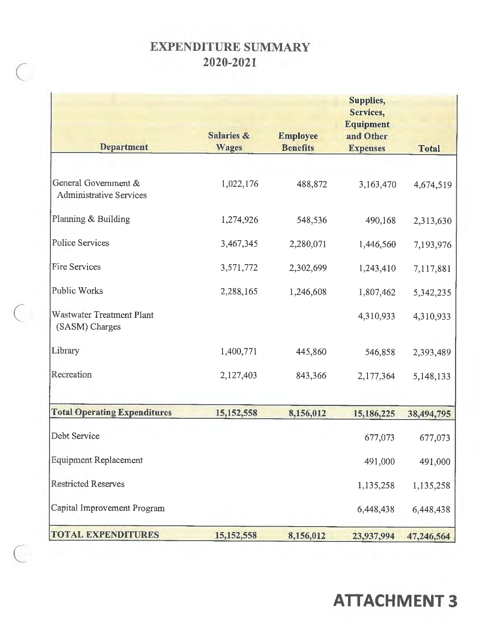### **EXPENDITURE SUMMARY 2020-2021**

*(* 

 $\overline{C}$ 

 $\bigcap$ 

|                                                        | <b>Salaries &amp;</b> | <b>Employee</b> | Supplies,<br>Services,<br><b>Equipment</b><br>and Other |              |
|--------------------------------------------------------|-----------------------|-----------------|---------------------------------------------------------|--------------|
| <b>Department</b>                                      | <b>Wages</b>          | <b>Benefits</b> | <b>Expenses</b>                                         | <b>Total</b> |
| General Government &<br><b>Administrative Services</b> | 1,022,176             | 488,872         | 3,163,470                                               | 4,674,519    |
| Planning & Building                                    | 1,274,926             | 548,536         | 490,168                                                 | 2,313,630    |
| <b>Police Services</b>                                 | 3,467,345             | 2,280,071       | 1,446,560                                               | 7,193,976    |
| <b>Fire Services</b>                                   | 3,571,772             | 2,302,699       | 1,243,410                                               | 7,117,881    |
| <b>Public Works</b>                                    | 2,288,165             | 1,246,608       | 1,807,462                                               | 5,342,235    |
| <b>Wastwater Treatment Plant</b><br>(SASM) Charges     |                       |                 | 4,310,933                                               | 4,310,933    |
| Library                                                | 1,400,771             | 445,860         | 546,858                                                 | 2,393,489    |
| Recreation                                             | 2,127,403             | 843,366         | 2,177,364                                               | 5,148,133    |
| <b>Total Operating Expenditures</b>                    | 15,152,558            | 8,156,012       | 15,186,225                                              | 38,494,795   |
| Debt Service                                           |                       |                 | 677,073                                                 | 677,073      |
| <b>Equipment Replacement</b>                           |                       |                 | 491,000                                                 | 491,000      |
| <b>Restricted Reserves</b>                             |                       |                 | 1,135,258                                               | 1,135,258    |
| Capital Improvement Program                            |                       |                 | 6,448,438                                               | 6,448,438    |
| <b>TOTAL EXPENDITURES</b>                              | 15, 152, 558          | 8,156,012       | 23,937,994                                              | 47,246,564   |

# **ATTACHMENT 3**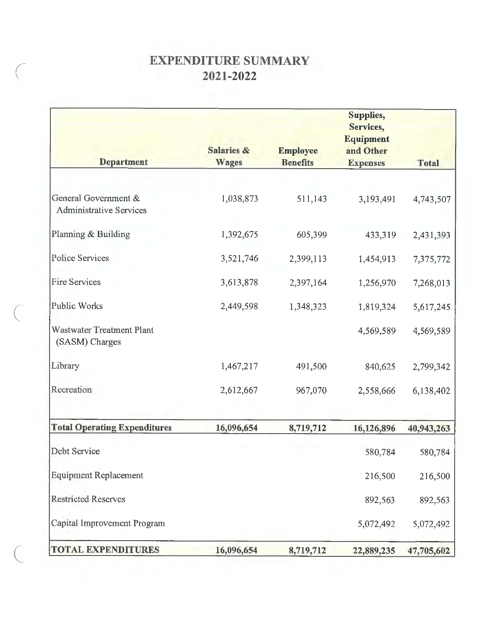### **EXPENDITURE SUMMARY 2021-2022**

*(* 

(

| <b>Department</b>                                      | <b>Salaries &amp;</b><br><b>Wages</b> | <b>Employee</b><br><b>Benefits</b> | Supplies,<br>Services,<br><b>Equipment</b><br>and Other<br><b>Expenses</b> | <b>Total</b> |
|--------------------------------------------------------|---------------------------------------|------------------------------------|----------------------------------------------------------------------------|--------------|
| General Government &<br><b>Administrative Services</b> | 1,038,873                             | 511,143                            | 3,193,491                                                                  | 4,743,507    |
| Planning & Building                                    | 1,392,675                             | 605,399                            | 433,319                                                                    | 2,431,393    |
| <b>Police Services</b>                                 | 3,521,746                             | 2,399,113                          | 1,454,913                                                                  | 7,375,772    |
| <b>Fire Services</b>                                   | 3,613,878                             | 2,397,164                          | 1,256,970                                                                  | 7,268,013    |
| <b>Public Works</b>                                    | 2,449,598                             | 1,348,323                          | 1,819,324                                                                  | 5,617,245    |
| Wastwater Treatment Plant<br>(SASM) Charges            |                                       |                                    | 4,569,589                                                                  | 4,569,589    |
| Library                                                | 1,467,217                             | 491,500                            | 840,625                                                                    | 2,799,342    |
| Recreation                                             | 2,612,667                             | 967,070                            | 2,558,666                                                                  | 6,138,402    |
| <b>Total Operating Expenditures</b>                    | 16,096,654                            | 8,719,712                          | 16,126,896                                                                 | 40,943,263   |
| Debt Service                                           |                                       |                                    | 580,784                                                                    | 580,784      |
| <b>Equipment Replacement</b>                           |                                       |                                    | 216,500                                                                    | 216,500      |
| <b>Restricted Reserves</b>                             |                                       |                                    | 892,563                                                                    | 892,563      |
| Capital Improvement Program                            |                                       |                                    | 5,072,492                                                                  | 5,072,492    |
| <b>TOTAL EXPENDITURES</b>                              | 16,096,654                            | 8,719,712                          | 22,889,235                                                                 | 47,705,602   |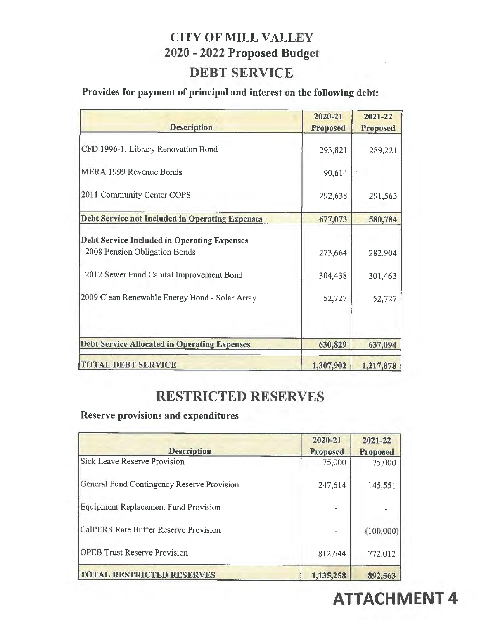## **CITY OF MILL VALLEY 2020** - **2022 Proposed Budget**

### **DEBT SERVICE**

### **Provides for payment of principal and interest on the following debt:**

| <b>Description</b>                                     | 2020-21<br><b>Proposed</b> | 2021-22<br><b>Proposed</b> |
|--------------------------------------------------------|----------------------------|----------------------------|
| CFD 1996-1, Library Renovation Bond                    | 293,821                    | 289,221                    |
| MERA 1999 Revenue Bonds                                | 90,614                     |                            |
| 2011 Community Center COPS                             | 292,638                    | 291,563                    |
| <b>Debt Service not Included in Operating Expenses</b> | 677,073                    | 580,784                    |
| <b>Debt Service Included in Operating Expenses</b>     |                            |                            |
| 2008 Pension Obligation Bonds                          | 273,664                    | 282,904                    |
| 2012 Sewer Fund Capital Improvement Bond               | 304,438                    | 301,463                    |
| 2009 Clean Renewable Energy Bond - Solar Array         | 52,727                     | 52,727                     |
| <b>Debt Service Allocated in Operating Expenses</b>    | 630,829                    | 637,094                    |
| <b>TOTAL DEBT SERVICE</b>                              | 1,307,902                  | 1,217,878                  |

### **RESTRICTED RESERVES**

### **Reserve provisions and expenditures**

| <b>Description</b>                         | 2020-21<br><b>Proposed</b> | 2021-22<br>Proposed |
|--------------------------------------------|----------------------------|---------------------|
| Sick Leave Reserve Provision               | 75,000                     | 75,000              |
| General Fund Contingency Reserve Provision | 247,614                    | 145,551             |
| Equipment Replacement Fund Provision       |                            |                     |
| CalPERS Rate Buffer Reserve Provision      |                            | (100,000)           |
| <b>OPEB</b> Trust Reserve Provision        | 812,644                    | 772,012             |
| <b>TOTAL RESTRICTED RESERVES</b>           | 1,135,258                  | 892,563             |

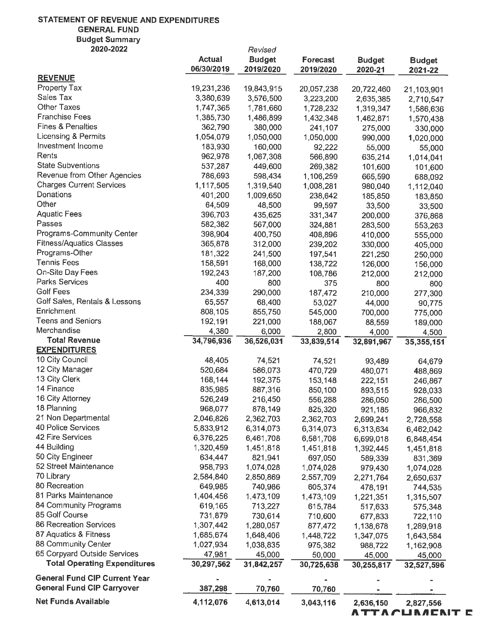#### **STATEMENT** OF **REVENUE AND EXPENDITURES GENERAL FUND**  Budget Summary

| 2020-2022                            |               | Revised       |                 |               |               |
|--------------------------------------|---------------|---------------|-----------------|---------------|---------------|
|                                      | <b>Actual</b> | <b>Budget</b> | <b>Forecast</b> | <b>Budget</b> | <b>Budget</b> |
|                                      | 06/30/2019    | 2019/2020     | 2019/2020       | 2020-21       | 2021-22       |
| <b>REVENUE</b>                       |               |               |                 |               |               |
| Property Tax                         | 19,231,236    | 19,843,915    | 20,057,238      | 20,722,460    | 21,103,901    |
| Sales Tax                            | 3,380,639     | 3,576,500     | 3,223,200       | 2,635,385     | 2,710,547     |
| <b>Other Taxes</b>                   | 1,747,365     | 1,781,660     | 1,728,232       | 1,319,347     | 1,586,636     |
| <b>Franchise Fees</b>                | 1,385,730     | 1,486,899     | 1,432,348       | 1,462,871     | 1,570,438     |
| <b>Fines &amp; Penalties</b>         | 362,790       | 380,000       | 241,107         | 275,000       | 330,000       |
| Licensing & Permits                  | 1,054,079     | 1,050,000     | 1,050,000       | 990,000       | 1,020,000     |
| Investment Income                    | 183,930       | 160,000       | 92,222          | 55,000        | 55,000        |
| Rents                                | 962,978       | 1,067,308     | 566,890         | 635,214       | 1,014,041     |
| <b>State Subventions</b>             | 537,287       | 449,600       | 269,382         | 101,600       | 101,600       |
| Revenue from Other Agencies          | 786,693       | 598,434       | 1,106,259       | 665,590       |               |
| <b>Charges Current Services</b>      | 1,117,505     | 1,319,540     | 1,008,281       |               | 688,092       |
| Donations                            | 401,200       | 1,009,650     |                 | 980,040       | 1,112,040     |
| Other                                |               |               | 238,642         | 185,850       | 183,850       |
| <b>Aquatic Fees</b>                  | 64,509        | 48,500        | 99,597          | 33,500        | 33,500        |
| Passes                               | 396,703       | 435,625       | 331,347         | 200,000       | 376,868       |
|                                      | 582,382       | 567,000       | 324,881         | 283,500       | 553,263       |
| <b>Programs-Community Center</b>     | 398,904       | 400,750       | 408,896         | 410,000       | 555,000       |
| <b>Fitness/Aquatics Classes</b>      | 365,878       | 312,000       | 239,202         | 330,000       | 405,000       |
| Programs-Other                       | 181,322       | 241,500       | 197,541         | 221,250       | 250,000       |
| <b>Tennis Fees</b>                   | 158,591       | 168,000       | 138,722         | 126,000       | 156,000       |
| On-Site Day Fees                     | 192,243       | 187,200       | 108,786         | 212,000       | 212,000       |
| Parks Services                       | 400           | 800           | 375             | 800           | 800           |
| <b>Golf Fees</b>                     | 234,339       | 290,000       | 187,472         | 210,000       | 277,300       |
| Golf Sales, Rentals & Lessons        | 65,557        | 68,400        | 53,027          | 44,000        | 90,775        |
| Enrichment                           | 808,105       | 855,750       | 545,000         | 700,000       | 775,000       |
| <b>Teens and Seniors</b>             | 192,191       | 221,000       | 188,067         | 88,559        | 189,000       |
| Merchandise                          | 4,380         | 6,000         | 2,800           | 4,000         | 4,500         |
| <b>Total Revenue</b>                 | 34,796,936    | 36,526,031    | 33,839,514      | 32,891,967    | 35,355,151    |
| <b>EXPENDITURES</b>                  |               |               |                 |               |               |
| 10 City Council                      | 48,405        | 74,521        | 74,521          | 93,489        | 64,679        |
| 12 City Manager                      | 520,684       | 586,073       | 470,729         | 480,071       | 488,869       |
| 13 City Clerk                        | 168,144       | 192,375       | 153,148         | 222,151       | 246,867       |
| 14 Finance                           | 835,985       | 887,316       | 850,100         | 893,515       | 928,033       |
| 16 City Attorney                     | 526,249       | 216,450       | 556,288         | 286,050       | 286,500       |
| 18 Planning                          | 968,077       | 878,149       | 825,320         | 921,185       | 966,832       |
| 21 Non Departmental                  | 2,046,826     | 2,362,703     | 2,362,703       | 2,699,241     | 2,728,558     |
| 40 Police Services                   | 5,833,912     | 6,314,073     | 6,314,073       | 6,313,634     | 6,462,042     |
| 42 Fire Services                     | 6,376,225     | 6,461,708     | 6,581,708       | 6,699,018     |               |
| 44 Building                          | 1,320,459     | 1,451,818     | 1,451,818       |               | 6,848,454     |
| 50 City Engineer                     | 634,447       | 821,941       |                 | 1,392,445     | 1,451,818     |
| 52 Street Maintenance                | 958,793       |               | 697,050         | 589,339       | 831,369       |
| 70 Library                           |               | 1,074,028     | 1,074,028       | 979,430       | 1,074,028     |
| 80 Recreation                        | 2,584,840     | 2,850,869     | 2,557,709       | 2,271,764     | 2,650,637     |
| 81 Parks Maintenance                 | 649,985       | 740,986       | 605,374         | 478,191       | 744,535       |
|                                      | 1,404,456     | 1,473,109     | 1,473,109       | 1,221,351     | 1,315,507     |
| 84 Community Programs                | 619,165       | 713,227       | 615,784         | 517,633       | 575,348       |
| 85 Golf Course                       | 731,879       | 730,614       | 710,600         | 677,833       | 722,110       |
| 86 Recreation Services               | 1,307,442     | 1,280,057     | 877,472         | 1,138,678     | 1,289,918     |
| 87 Aquatics & Fitness                | 1,685,674     | 1,648,406     | 1,448,722       | 1,347,075     | 1,643,584     |
| 88 Community Center                  | 1,027,934     | 1,038,835     | 975,382         | 988,722       | 1,162,908     |
| 65 Corpyard Outside Services         | 47,981        | 45,000        | 50,000          | 45,000        | 45,000        |
| <b>Total Operating Expenditures</b>  | 30,297,562    | 31,842,257    | 30,725,638      | 30,255,817    | 32,527,596    |
| <b>General Fund CIP Current Year</b> |               |               |                 |               |               |
| <b>General Fund CIP Carryover</b>    | 387,298       |               |                 |               |               |
|                                      |               | 70,760        | 70,760          |               |               |
| <b>Net Funds Available</b>           | 4,112,076     | 4,613,014     | 3,043,116       | 2,636,150     | 2,827,556     |

**ATTArUI\IICI\IT C'.**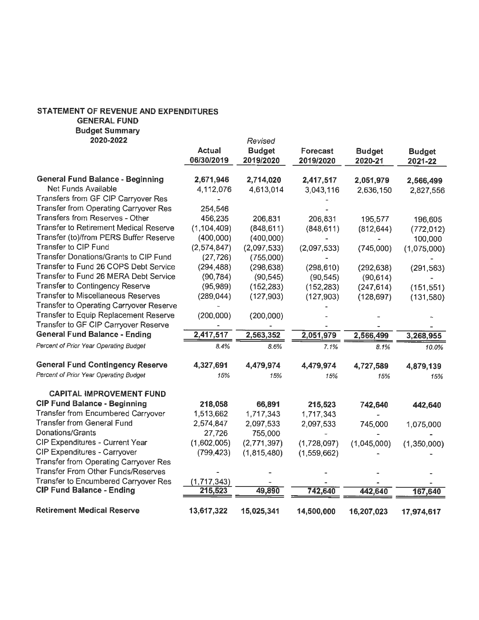#### **STATEMENT OF REVENUE AND EXPENDITURES GENERAL FUND Budget Summary**

| 2020-2022                                      |                      | Revised                    |                       |                          |                          |
|------------------------------------------------|----------------------|----------------------------|-----------------------|--------------------------|--------------------------|
|                                                | Actual<br>06/30/2019 | <b>Budget</b><br>2019/2020 | Forecast<br>2019/2020 | <b>Budget</b><br>2020-21 | <b>Budget</b><br>2021-22 |
| <b>General Fund Balance - Beginning</b>        | 2,671,946            | 2,714,020                  | 2,417,517             | 2,051,979                | 2,566,499                |
| Net Funds Available                            | 4,112,076            | 4,613,014                  | 3,043,116             | 2,636,150                | 2,827,556                |
| Transfers from GF CIP Carryover Res            |                      |                            |                       |                          |                          |
| <b>Transfer from Operating Carryover Res</b>   | 254,546              |                            |                       |                          |                          |
| Transfers from Reserves - Other                | 456,235              | 206,831                    | 206,831               | 195,577                  | 196,605                  |
| <b>Transfer to Retirement Medical Reserve</b>  | (1, 104, 409)        | (848, 611)                 | (848, 611)            | (812, 644)               | (772, 012)               |
| Transfer (to)/from PERS Buffer Reserve         | (400,000)            | (400,000)                  |                       |                          | 100,000                  |
| Transfer to CIP Fund                           | (2,574,847)          | (2,097,533)                | (2,097,533)           | (745,000)                | (1,075,000)              |
| Transfer Donations/Grants to CIP Fund          | (27, 726)            | (755,000)                  |                       |                          |                          |
| Transfer to Fund 26 COPS Debt Service          | (294, 488)           | (298, 638)                 | (298, 610)            | (292, 638)               | (291, 563)               |
| Transfer to Fund 26 MERA Debt Service          | (90, 784)            | (90, 545)                  | (90, 545)             | (90, 614)                |                          |
| <b>Transfer to Contingency Reserve</b>         | (95, 989)            | (152, 283)                 | (152, 283)            | (247, 614)               | (151, 551)               |
| <b>Transfer to Miscellaneous Reserves</b>      | (289, 044)           | (127, 903)                 | (127, 903)            | (128, 697)               | (131,580)                |
| <b>Transfer to Operating Carryover Reserve</b> |                      |                            |                       |                          |                          |
| Transfer to Equip Replacement Reserve          | (200,000)            | (200,000)                  |                       |                          |                          |
| Transfer to GF CIP Carryover Reserve           |                      |                            |                       |                          |                          |
| <b>General Fund Balance - Ending</b>           | 2,417,517            | 2,563,352                  | 2,051,979             | 2,566,499                | 3,268,955                |
| Percent of Prior Year Operating Budget         | 8.4%                 | 8.6%                       | 7.1%                  | 8.1%                     | 10.0%                    |
| <b>General Fund Contingency Reserve</b>        | 4,327,691            | 4,479,974                  | 4,479,974             | 4,727,589                | 4,879,139                |
| Percent of Prior Year Operating Budget         | 15%                  | 15%                        | 15%                   | 15%                      | 15%                      |
| <b>CAPITAL IMPROVEMENT FUND</b>                |                      |                            |                       |                          |                          |
| <b>CIP Fund Balance - Beginning</b>            | 218,058              | 66,891                     | 215,523               | 742,640                  | 442,640                  |
| <b>Transfer from Encumbered Carryover</b>      | 1,513,662            | 1,717,343                  | 1,717,343             |                          |                          |
| <b>Transfer from General Fund</b>              | 2,574,847            | 2,097,533                  | 2,097,533             | 745,000                  | 1,075,000                |
| Donations/Grants                               | 27,726               | 755,000                    |                       |                          |                          |
| CIP Expenditures - Current Year                | (1,602,005)          | (2,771,397)                | (1,728,097)           | (1,045,000)              | (1,350,000)              |
| <b>CIP Expenditures - Carryover</b>            | (799, 423)           | (1,815,480)                | (1,559,662)           |                          |                          |
|                                                |                      |                            |                       |                          |                          |
| <b>Transfer from Operating Carryover Res</b>   |                      |                            |                       |                          |                          |
| <b>Transfer From Other Funds/Reserves</b>      |                      |                            |                       |                          |                          |
| Transfer to Encumbered Carryover Res           | (1,717,343)          |                            |                       |                          |                          |
| <b>CIP Fund Balance - Ending</b>               | 215,523              | 49,890                     | 742,640               | 442,640                  | 167,640                  |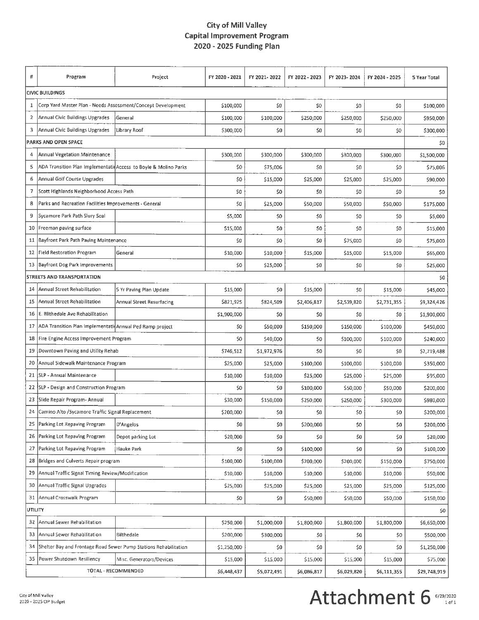#### **City of Mill Valley Capital Improvement Program 2020 - 2025 Funding Plan**

| #                      | Program                                                          | Project                   | FY 2020 - 2021 | FY 2021-2022 | FY 2022 - 2023 | FY 2023-2024 | FY 2024 - 2025 | 5 Year Total |
|------------------------|------------------------------------------------------------------|---------------------------|----------------|--------------|----------------|--------------|----------------|--------------|
| <b>CIVIC BUILDINGS</b> |                                                                  |                           |                |              |                |              |                |              |
| 1                      | Corp Yard Master Plan - Needs Assessment/Concept Development     |                           | \$100,000      | \$0          | \$0            | \$0          | \$0            | \$100,000    |
| 2                      | Annual Civic Buildings Upgrades                                  | General                   | \$100,000      | \$100,000    | \$250,000      | \$250,000    | \$250,000      | \$950,000    |
| 3                      | Annual Civic Buildings Upgrades                                  | Library Roof              | \$300,000      | \$0          | \$0            | \$0          | \$0            | \$300,000    |
|                        | PARKS AND OPEN SPACE                                             |                           |                |              |                |              |                | \$0          |
| 4                      | Annual Vegetation Maintenance                                    |                           | \$300,000      | \$300,000    | \$300,000      | \$300,000    | \$300,000      | \$1,500,000  |
| 5                      | ADA Transition Plan Implementatid Access to Boyle & Molino Parks |                           | \$0            | \$75,006     | \$0            | \$0          | \$0            | \$75,006     |
| 6                      | <b>Annual Golf Course Upgrades</b>                               |                           | \$0            | \$15,000     | \$25,000       | \$25,000     | \$25,000       | \$90,000     |
| 7                      | Scott Highlands Neighborhood Access Path                         |                           | \$0            | \$0          | \$0            | \$0          | \$0            | \$0          |
| 8                      | Parks and Recreation Facilities Improvements - General           |                           | \$0            | \$25,000     | \$50,000       | \$50,000     | \$50,000       | \$175,000    |
| 9                      | Sycamore Park Path Slury Seal                                    |                           | \$5,000        | \$0          | \$0            | \$0          | \$0            | \$5,000      |
|                        | 10 Freeman paving surface                                        |                           | \$15,000       | \$0          | \$0            | \$0          | \$0            | \$15,000     |
|                        | 11 Bayfront Park Path Paving Maintenance                         |                           | \$0            | \$0          | \$0            | \$75,000     | \$0            | \$75,000     |
|                        | 12 Field Restoration Program                                     | General                   | \$10,000       | \$10,000     | \$15,000       | \$15,000     | \$15,000       | \$65,000     |
|                        | 13   Bayfront Dog Park Improvements                              |                           | \$0            | \$25,000     | \$0            | \$0          | \$0            | \$25,000     |
|                        | <b>STREETS AND TRANSPORTATION</b>                                |                           |                |              |                |              |                | \$0          |
| 14                     | Annual Street Rehabilitation                                     | 5 Yr Paving Plan Update   | \$15,000       | \$0          | \$15,000       | \$0          | \$15,000       | \$45,000     |
| 15                     | Annual 5treet Rehabilitation                                     | Annual Street Resurfacing | \$821,925      | \$824,509    | \$2,406,817    | \$2,539,820  | \$2,731,355    | \$9,324,426  |
| 16                     | E. Blithedale Ave Rehabilitation                                 |                           | \$1,900,000    | \$0          | \$0            | \$0          | \$0            | \$1,900,000  |
| 17                     | ADA Transition Plan ImplementatioAnnual Ped Ramp project         |                           | \$0            | \$50,000     | \$150,000      | \$150,000    | \$100,000      | \$450,000    |
| 18                     | Fire Engine Access Improvement Program                           |                           | \$0            | \$40,000     | \$0            | \$100,000    | \$100,000      | \$240,000    |
| 19                     | Downtown Paving and Utility Rehab                                |                           | \$746,512      | \$1,972,976  | \$0            | \$0          | \$0            | \$2,719,488  |
| 20                     | Annual Sidewalk Maintenance Program                              |                           | \$25,000       | \$25,000     | \$100,000      | \$100,000    | \$100,000      | \$350,000    |
|                        | 21 SLP - Annual Maintenance                                      |                           | \$10,000       | \$10,000     | \$25,000       | \$25,000     | \$25,000       | \$95,000     |
|                        | 22 SLP - Design and Construction Program                         |                           | \$0            | \$0          | \$100,000      | \$50,000     | \$50,000       | \$200,000    |
|                        | 23 Slide Repair Program- Annual                                  |                           | \$30,000       | \$150,000    | \$250,000      | \$250,000    | \$300,000      | \$980,000    |
| 24                     | Camino Alto / Sycamore Traffic Signal Replacement                |                           | \$200,000      | \$0          | \$0            | \$0          | \$0            | \$200,000    |
| 25                     | Parking Lot Repaving Program                                     | D'Angelos                 | \$0            | \$0          | \$200,000      | \$0          | \$0            | \$200,000    |
| 26                     | Parking Lot Repaving Program                                     | Depot parking Lot         | \$20,000       | \$0          | \$0            | \$0          | \$0            | \$20,000     |
| 27                     | Parking Lot Repaving Program                                     | Hauke Park                | \$0            | \$0          | \$100,000      | \$0          | \$0            | \$100,000    |
| 28                     | Bridges and Culverts Repair program                              |                           | \$100,000      | \$100,000    | \$200,000      | \$200,000    | \$150,000      | \$750,000    |
| 29                     | Annual Traffic Signal Timing Review/Modification                 |                           | \$10,000       | \$10,000     | \$10,000       | \$10,000     | \$10,000       | \$50,000     |
| 30                     | Annual Traffic Signal Upgrades                                   |                           | \$25,000       | \$25,000     | \$25,000       | \$25,000     | \$25,000       | \$125,000    |
| 31                     | Annual Crosswalk Program                                         |                           | \$0            | \$0          | \$50,000       | \$50,000     | \$50,000       | \$150,000    |
| utility                |                                                                  |                           |                |              |                |              |                | \$0          |
| 32                     | Annual Sewer Rehabilitation                                      |                           | \$250,000      | \$1,000,000  | \$1,800,000    | \$1,800,000  | \$1,800,000    | \$6,650,000  |
| 33                     | Annual Sewer Rehabilitation                                      | Bilthedale                | \$200,000      | \$300,000    | \$0            | \$0          | \$0            | \$500,000    |
| 34                     | Shelter Bay and Frontage Road Sewer Pump Stations Rehabilitation |                           | \$1,250,000    | \$0          | \$0            | \$0          | \$0            | \$1,250,000  |
| 35                     | Power Shutdown Resiliency                                        | Misc. Generators/Devices  | \$15,000       | \$15,000     | \$15,000       | \$15,000     | \$15,000       | \$75,000     |
|                        |                                                                  | TOTAL - RECOMMENDED       | \$6,448,437    | \$5,072,491  | \$6,0B6,817    | \$6,029,820  | \$6,111,355    | \$29,748,919 |

# Attachment 6 6/29/2020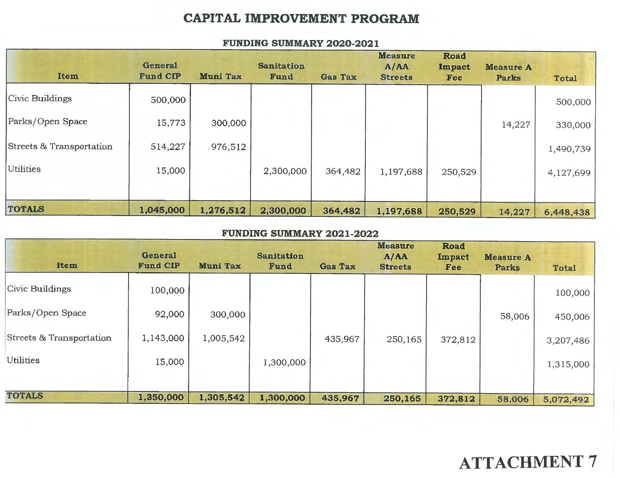### **CAPITAL IMPROVEMENT PROGRAM**

| Item                     | <b>General</b><br><b>Fund CIP</b> | <b>Muni Tax</b> | <b>Sanitation</b><br>Fund | <b>Gas Tax</b> | <b>Measure</b><br>A/AA<br><b>Streets</b> | <b>Road</b><br><b>Impact</b><br>Fee | <b>Measure A</b><br><b>Parks</b> | <b>Total</b> |
|--------------------------|-----------------------------------|-----------------|---------------------------|----------------|------------------------------------------|-------------------------------------|----------------------------------|--------------|
| Civic Buildings          | 500,000                           |                 |                           |                |                                          |                                     |                                  | 500,000      |
| Parks/Open Space         | 15,773                            | 300,000         |                           |                |                                          |                                     | 14,227                           | 330,000      |
| Streets & Transportation | 514,227                           | 976,512         |                           |                |                                          |                                     |                                  | 1,490,739    |
| <b>Utilities</b>         | 15,000                            |                 | 2,300,000                 | 364,482        | 1,197,688                                | 250,529                             |                                  | 4,127,699    |
| <b>TOTALS</b>            | 1,045,000                         | 1,276,512       | 2,300,000                 | 364,482        | 1,197,688                                | 250,529                             | 14,227                           | 6,448,438    |

#### **FUNDING SUMMARY 2020-2021**

#### **FUNDING SUMMARY 2021-2022**

| <b>Item</b>              | <b>General</b><br><b>Fund CIP</b> | <b>Muni Tax</b> | <b>Sanitation</b><br>Fund | <b>Gas Tax</b> | <b>Measure</b><br>A/AA<br><b>Streets</b> | <b>Road</b><br>Impact<br>Fee | <b>Measure A</b><br><b>Parks</b> | <b>Total</b> |
|--------------------------|-----------------------------------|-----------------|---------------------------|----------------|------------------------------------------|------------------------------|----------------------------------|--------------|
| <b>Civic Buildings</b>   | 100,000                           |                 |                           |                |                                          |                              |                                  | 100,000      |
| Parks/Open Space         | 92,000                            | 300,000         |                           |                |                                          |                              | 58,006                           | 450,006      |
| Streets & Transportation | 1,143,000                         | 1,005,542       |                           | 435,967        | 250,165                                  | 372,812                      |                                  | 3,207,486    |
| Utilities                | 15,000                            |                 | 1,300,000                 |                |                                          |                              |                                  | 1,315,000    |
| <b>TOTALS</b>            | 1,350,000                         | 1,305,542       | 1,300,000                 | 435,967        | 250,165                                  | 372,812                      | 58,006                           | 5,072,492    |

# **ATTACHMENT** 7